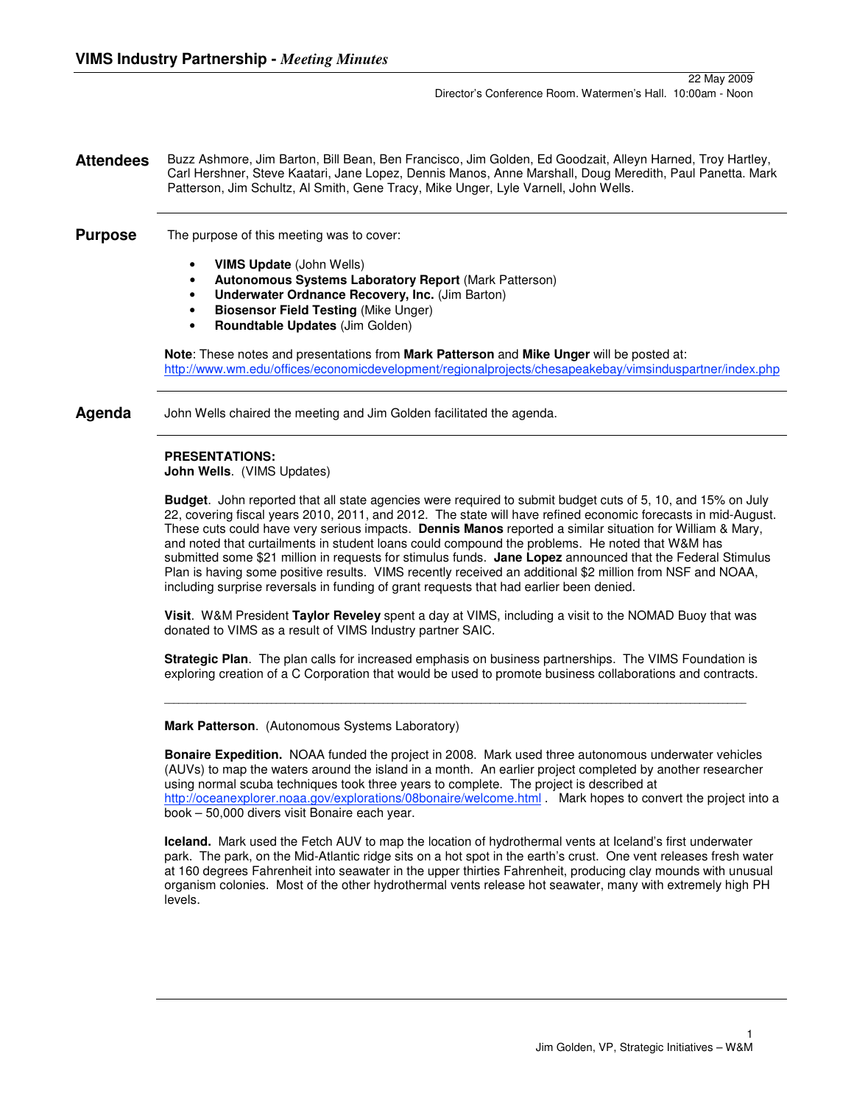### **Attendees** Buzz Ashmore, Jim Barton, Bill Bean, Ben Francisco, Jim Golden, Ed Goodzait, Alleyn Harned, Troy Hartley, Carl Hershner, Steve Kaatari, Jane Lopez, Dennis Manos, Anne Marshall, Doug Meredith, Paul Panetta. Mark Patterson, Jim Schultz, Al Smith, Gene Tracy, Mike Unger, Lyle Varnell, John Wells.

**Purpose** The purpose of this meeting was to cover:

- **VIMS Update** (John Wells)
- **Autonomous Systems Laboratory Report** (Mark Patterson)
- **Underwater Ordnance Recovery, Inc.** (Jim Barton)
- **Biosensor Field Testing** (Mike Unger)
- **Roundtable Updates** (Jim Golden)

**Note**: These notes and presentations from **Mark Patterson** and **Mike Unger** will be posted at: http://www.wm.edu/offices/economicdevelopment/regionalprojects/chesapeakebay/vimsinduspartner/index.php

**Agenda** John Wells chaired the meeting and Jim Golden facilitated the agenda.

# **PRESENTATIONS:**

**John Wells**. (VIMS Updates)

**Budget**. John reported that all state agencies were required to submit budget cuts of 5, 10, and 15% on July 22, covering fiscal years 2010, 2011, and 2012. The state will have refined economic forecasts in mid-August. These cuts could have very serious impacts. **Dennis Manos** reported a similar situation for William & Mary, and noted that curtailments in student loans could compound the problems. He noted that W&M has submitted some \$21 million in requests for stimulus funds. **Jane Lopez** announced that the Federal Stimulus Plan is having some positive results. VIMS recently received an additional \$2 million from NSF and NOAA, including surprise reversals in funding of grant requests that had earlier been denied.

**Visit**. W&M President **Taylor Reveley** spent a day at VIMS, including a visit to the NOMAD Buoy that was donated to VIMS as a result of VIMS Industry partner SAIC.

**Strategic Plan**. The plan calls for increased emphasis on business partnerships. The VIMS Foundation is exploring creation of a C Corporation that would be used to promote business collaborations and contracts.

**\_\_\_\_\_\_\_\_\_\_\_\_\_\_\_\_\_\_\_\_\_\_\_\_\_\_\_\_\_\_\_\_\_\_\_\_\_\_\_\_\_\_\_\_\_\_\_\_\_\_\_\_\_\_\_\_\_\_\_\_\_\_\_\_\_\_\_\_\_\_\_\_\_\_\_\_\_\_\_\_\_\_\_\_\_\_\_\_\_\_\_\_\_\_\_\_\_\_\_\_\_\_\_\_\_\_\_\_\_\_\_\_\_\_\_\_\_\_\_\_\_\_\_\_\_**

**Mark Patterson**. (Autonomous Systems Laboratory)

**Bonaire Expedition.** NOAA funded the project in 2008. Mark used three autonomous underwater vehicles (AUVs) to map the waters around the island in a month. An earlier project completed by another researcher using normal scuba techniques took three years to complete. The project is described at http://oceanexplorer.noaa.gov/explorations/08bonaire/welcome.html . Mark hopes to convert the project into a book – 50,000 divers visit Bonaire each year.

**Iceland.** Mark used the Fetch AUV to map the location of hydrothermal vents at Iceland's first underwater park. The park, on the Mid-Atlantic ridge sits on a hot spot in the earth's crust. One vent releases fresh water at 160 degrees Fahrenheit into seawater in the upper thirties Fahrenheit, producing clay mounds with unusual organism colonies. Most of the other hydrothermal vents release hot seawater, many with extremely high PH levels.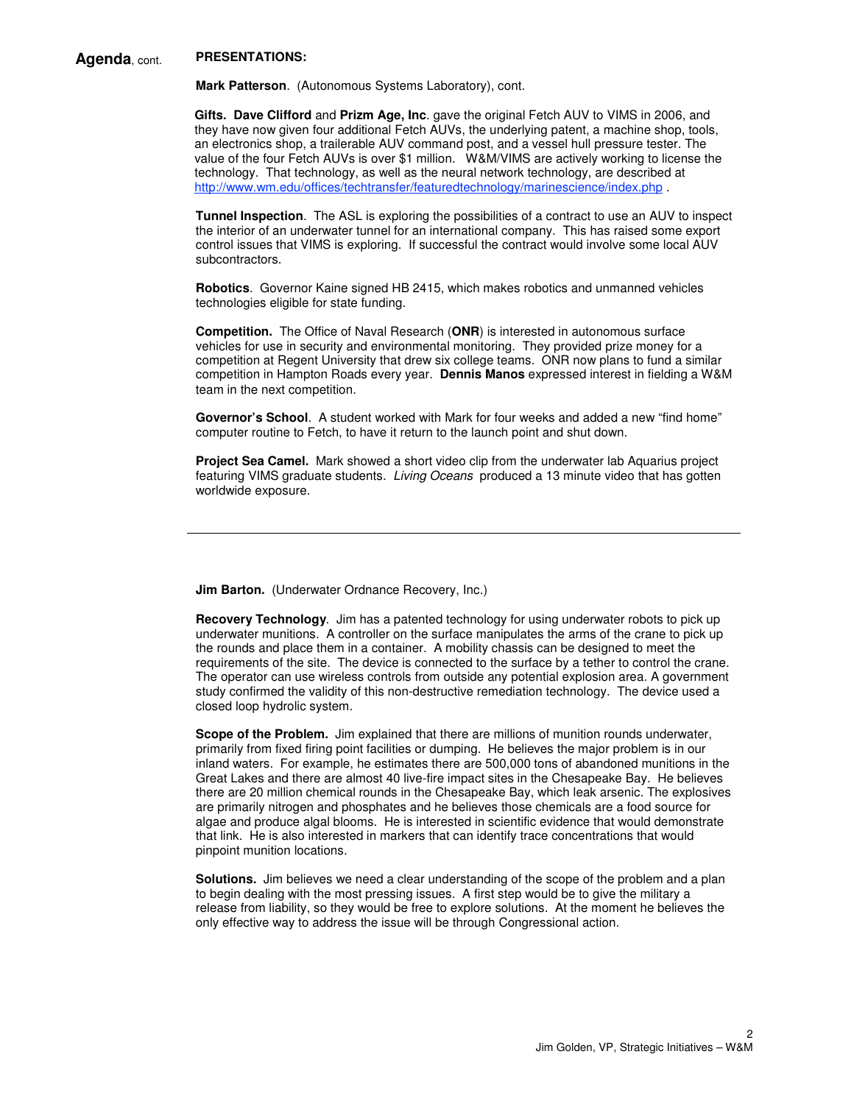# **Agenda**, cont. **PRESENTATIONS:**

**Mark Patterson**. (Autonomous Systems Laboratory), cont.

**Gifts. Dave Clifford** and **Prizm Age, Inc**. gave the original Fetch AUV to VIMS in 2006, and they have now given four additional Fetch AUVs, the underlying patent, a machine shop, tools, an electronics shop, a trailerable AUV command post, and a vessel hull pressure tester. The value of the four Fetch AUVs is over \$1 million. W&M/VIMS are actively working to license the technology. That technology, as well as the neural network technology, are described at http://www.wm.edu/offices/techtransfer/featuredtechnology/marinescience/index.php .

**Tunnel Inspection**. The ASL is exploring the possibilities of a contract to use an AUV to inspect the interior of an underwater tunnel for an international company. This has raised some export control issues that VIMS is exploring. If successful the contract would involve some local AUV subcontractors.

**Robotics**. Governor Kaine signed HB 2415, which makes robotics and unmanned vehicles technologies eligible for state funding.

**Competition.** The Office of Naval Research (**ONR**) is interested in autonomous surface vehicles for use in security and environmental monitoring. They provided prize money for a competition at Regent University that drew six college teams. ONR now plans to fund a similar competition in Hampton Roads every year. **Dennis Manos** expressed interest in fielding a W&M team in the next competition.

**Governor's School**. A student worked with Mark for four weeks and added a new "find home" computer routine to Fetch, to have it return to the launch point and shut down.

**Project Sea Camel.** Mark showed a short video clip from the underwater lab Aquarius project featuring VIMS graduate students. Living Oceans produced a 13 minute video that has gotten worldwide exposure.

**Jim Barton.** (Underwater Ordnance Recovery, Inc.)

**Recovery Technology**. Jim has a patented technology for using underwater robots to pick up underwater munitions. A controller on the surface manipulates the arms of the crane to pick up the rounds and place them in a container. A mobility chassis can be designed to meet the requirements of the site. The device is connected to the surface by a tether to control the crane. The operator can use wireless controls from outside any potential explosion area. A government study confirmed the validity of this non-destructive remediation technology. The device used a closed loop hydrolic system.

**Scope of the Problem.** Jim explained that there are millions of munition rounds underwater, primarily from fixed firing point facilities or dumping. He believes the major problem is in our inland waters. For example, he estimates there are 500,000 tons of abandoned munitions in the Great Lakes and there are almost 40 live-fire impact sites in the Chesapeake Bay. He believes there are 20 million chemical rounds in the Chesapeake Bay, which leak arsenic. The explosives are primarily nitrogen and phosphates and he believes those chemicals are a food source for algae and produce algal blooms. He is interested in scientific evidence that would demonstrate that link. He is also interested in markers that can identify trace concentrations that would pinpoint munition locations.

**Solutions.** Jim believes we need a clear understanding of the scope of the problem and a plan to begin dealing with the most pressing issues. A first step would be to give the military a release from liability, so they would be free to explore solutions. At the moment he believes the only effective way to address the issue will be through Congressional action.